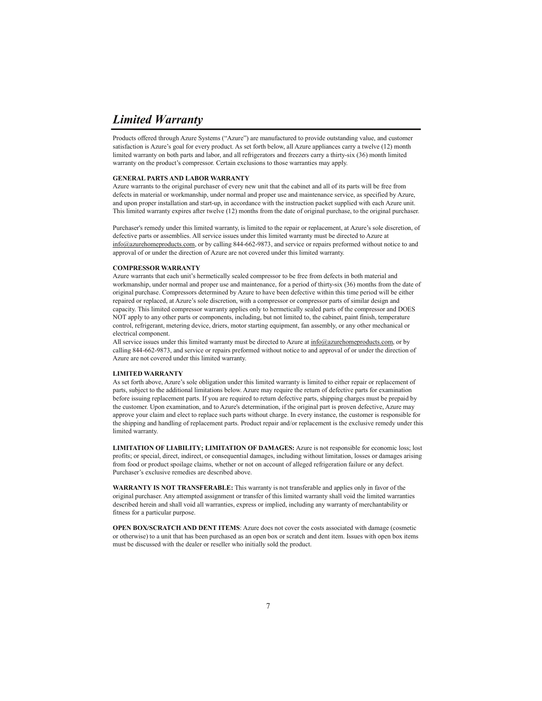## *Limited Warranty*

Products offered through Azure Systems ("Azure") are manufactured to provide outstanding value, and customer satisfaction is Azure's goal for every product. As set forth below, all Azure appliances carry a twelve (12) month limited warranty on both parts and labor, and all refrigerators and freezers carry a thirty-six (36) month limited warranty on the product's compressor. Certain exclusions to those warranties may apply.

### **GENERAL PARTS AND LABOR WARRANTY**

Azure warrants to the original purchaser of every new unit that the cabinet and all of its parts will be free from defects in material or workmanship, under normal and proper use and maintenance service, as specified by Azure, and upon proper installation and start-up, in accordance with the instruction packet supplied with each Azure unit. This limited warranty expires after twelve (12) months from the date of original purchase, to the original purchaser.

Purchaser's remedy under this limited warranty, is limited to the repair or replacement, at Azure's sole discretion, of defective parts or assemblies. All service issues under this limited warranty must be directed to Azure at info@azurehomeproducts.com, or by calling 844-662-9873, and service or repairs preformed without notice to and approval of or under the direction of Azure are not covered under this limited warranty.

#### **COMPRESSOR WARRANTY**

Azure warrants that each unit's hermetically sealed compressor to be free from defects in both material and workmanship, under normal and proper use and maintenance, for a period of thirty-six (36) months from the date of original purchase. Compressors determined by Azure to have been defective within this time period will be either repaired or replaced, at Azure's sole discretion, with a compressor or compressor parts of similar design and capacity. This limited compressor warranty applies only to hermetically sealed parts of the compressor and DOES NOT apply to any other parts or components, including, but not limited to, the cabinet, paint finish, temperature control, refrigerant, metering device, driers, motor starting equipment, fan assembly, or any other mechanical or electrical component.

All service issues under this limited warranty must be directed to Azure at info@azurehomeproducts.com, or by calling 844-662-9873, and service or repairs preformed without notice to and approval of or under the direction of Azure are not covered under this limited warranty.

#### **LIMITED WARRANTY**

As set forth above, Azure's sole obligation under this limited warranty is limited to either repair or replacement of parts, subject to the additional limitations below. Azure may require the return of defective parts for examination before issuing replacement parts. If you are required to return defective parts, shipping charges must be prepaid by the customer. Upon examination, and to Azure's determination, if the original part is proven defective, Azure may approve your claim and elect to replace such parts without charge. In every instance, the customer is responsible for the shipping and handling of replacement parts. Product repair and/or replacement is the exclusive remedy under this limited warranty.

**LIMITATION OF LIABILITY; LIMITATION OF DAMAGES:** Azure is not responsible for economic loss; lost profits; or special, direct, indirect, or consequential damages, including without limitation, losses or damages arising from food or product spoilage claims, whether or not on account of alleged refrigeration failure or any defect. Purchaser's exclusive remedies are described above.

**WARRANTY IS NOT TRANSFERABLE:** This warranty is not transferable and applies only in favor of the original purchaser. Any attempted assignment or transfer of this limited warranty shall void the limited warranties described herein and shall void all warranties, express or implied, including any warranty of merchantability or fitness for a particular purpose.

**OPEN BOX/SCRATCH AND DENT ITEMS**: Azure does not cover the costs associated with damage (cosmetic or otherwise) to a unit that has been purchased as an open box or scratch and dent item. Issues with open box items must be discussed with the dealer or reseller who initially sold the product.